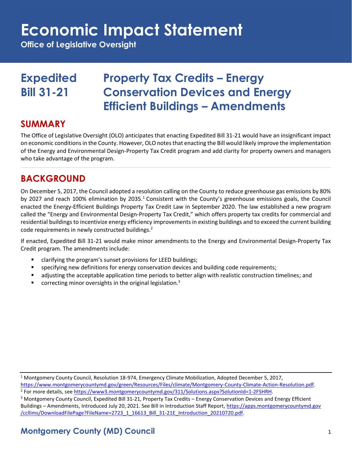## **Economic Impact Statement**

**Office of Legislative Oversight**

## **Expedited Property Tax Credits – Energy Bill 31-21 Conservation Devices and Energy Efficient Buildings – Amendments**

### **SUMMARY**

The Office of Legislative Oversight (OLO) anticipates that enacting Expedited Bill 31-21 would have an insignificant impact on economic conditions in the County. However, OLO notes that enacting the Bill would likely improve the implementation of the Energy and Environmental Design-Property Tax Credit program and add clarity for property owners and managers who take advantage of the program.

## **BACKGROUND**

On December 5, 2017, the Council adopted a resolution calling on the County to reduce greenhouse gas emissions by 80% by 2027 and reach 100% elimination by 2035.<sup>1</sup> Consistent with the County's greenhouse emissions goals, the Council enacted the Energy-Efficient Buildings Property Tax Credit Law in September 2020. The law established a new program called the "Energy and Environmental Design-Property Tax Credit," which offers property tax credits for commercial and residential buildings to incentivize energy efficiency improvements in existing buildings and to exceed the current building code requirements in newly constructed buildings.<sup>2</sup>

If enacted, Expedited Bill 31-21 would make minor amendments to the Energy and Environmental Design-Property Tax Credit program. The amendments include:

- clarifying the program's sunset provisions for LEED buildings;
- specifying new definitions for energy conservation devices and building code requirements;
- adjusting the acceptable application time periods to better align with realistic construction timelines; and
- **•** correcting minor oversights in the original legislation.<sup>3</sup>

<sup>1</sup> Montgomery County Council, Resolution 18-974, Emergency Climate Mobilization, Adopted December 5, 2017,

[https://www.montgomerycountymd.gov/green/Resources/Files/climate/Montgomery-County-Climate-Action-Resolution.pdf.](https://www.montgomerycountymd.gov/green/Resources/Files/climate/Montgomery-County-Climate-Action-Resolution.pdf) <sup>2</sup> For more details, see [https://www3.montgomerycountymd.gov/311/Solutions.aspx?SolutionId=1-2FSHRH.](https://www3.montgomerycountymd.gov/311/Solutions.aspx?SolutionId=1-2FSHRH)

<sup>3</sup> Montgomery County Council, Expedited Bill 31-21, Property Tax Credits – Energy Conservation Devices and Energy Efficient Buildings – Amendments, Introduced July 20, 2021. See Bill in Introduction Staff Report, [https://apps.montgomerycountymd.gov](https://apps.montgomerycountymd.gov/ccllims/DownloadFilePage?FileName=2723_1_16613_Bill_31-21E_Introduction_20210720.pdf) [/ccllims/DownloadFilePage?FileName=2723\\_1\\_16613\\_Bill\\_31-21E\\_Introduction\\_20210720.pdf.](https://apps.montgomerycountymd.gov/ccllims/DownloadFilePage?FileName=2723_1_16613_Bill_31-21E_Introduction_20210720.pdf)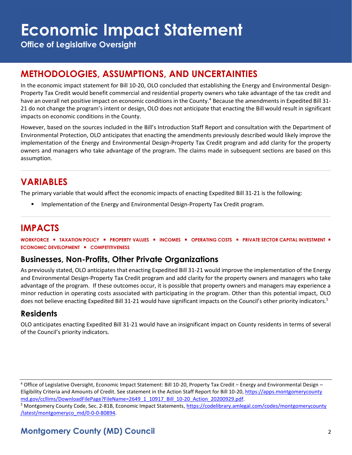# **Economic Impact Statement**

**Office of Legislative Oversight**

## **METHODOLOGIES, ASSUMPTIONS, AND UNCERTAINTIES**

In the economic impact statement for Bill 10-20, OLO concluded that establishing the Energy and Environmental Design-Property Tax Credit would benefit commercial and residential property owners who take advantage of the tax credit and have an overall net positive impact on economic conditions in the County.<sup>4</sup> Because the amendments in Expedited Bill 31-21 do not change the program's intent or design, OLO does not anticipate that enacting the Bill would result in significant impacts on economic conditions in the County.

However, based on the sources included in the Bill's Introduction Staff Report and consultation with the Department of Environmental Protection, OLO anticipates that enacting the amendments previously described would likely improve the implementation of the Energy and Environmental Design-Property Tax Credit program and add clarity for the property owners and managers who take advantage of the program. The claims made in subsequent sections are based on this assumption.

## **VARIABLES**

The primary variable that would affect the economic impacts of enacting Expedited Bill 31-21 is the following:

Implementation of the Energy and Environmental Design-Property Tax Credit program.

## **IMPACTS**

**WORKFORCE** ▪ **TAXATION POLICY** ▪ **PROPERTY VALUES** ▪ **INCOMES** ▪ **OPERATING COSTS** ▪ **PRIVATE SECTOR CAPITAL INVESTMENT** ▪ **ECONOMIC DEVELOPMENT** ▪ **COMPETITIVENESS**

#### **Businesses, Non-Profits, Other Private Organizations**

As previously stated, OLO anticipates that enacting Expedited Bill 31-21 would improve the implementation of the Energy and Environmental Design-Property Tax Credit program and add clarity for the property owners and managers who take advantage of the program. If these outcomes occur, it is possible that property owners and managers may experience a minor reduction in operating costs associated with participating in the program. Other than this potential impact, OLO does not believe enacting Expedited Bill 31-21 would have significant impacts on the Council's other priority indicators.<sup>5</sup>

#### **Residents**

OLO anticipates enacting Expedited Bill 31-21 would have an insignificant impact on County residents in terms of several of the Council's priority indicators.

<sup>4</sup> Office of Legislative Oversight, Economic Impact Statement: Bill 10-20, Property Tax Credit – Energy and Environmental Design – Eligibility Criteria and Amounts of Credit. See statement in the Action Staff Report for Bill 10-20[, https://apps.montgomerycounty](https://apps.montgomerycountymd.gov/ccllims/DownloadFilePage?FileName=2649_1_10917_Bill_10-20_Action_20200929.pdf) [md.gov/ccllims/DownloadFilePage?FileName=2649\\_1\\_10917\\_Bill\\_10-20\\_Action\\_20200929.pdf.](https://apps.montgomerycountymd.gov/ccllims/DownloadFilePage?FileName=2649_1_10917_Bill_10-20_Action_20200929.pdf) 

<sup>5</sup> Montgomery County Code, Sec. 2-81B, Economic Impact Statements[, https://codelibrary.amlegal.com/codes/montgomerycounty](https://codelibrary.amlegal.com/codes/montgomerycounty/latest/montgomeryco_md/0-0-0-80894) [/latest/montgomeryco\\_md/0-0-0-80894.](https://codelibrary.amlegal.com/codes/montgomerycounty/latest/montgomeryco_md/0-0-0-80894)